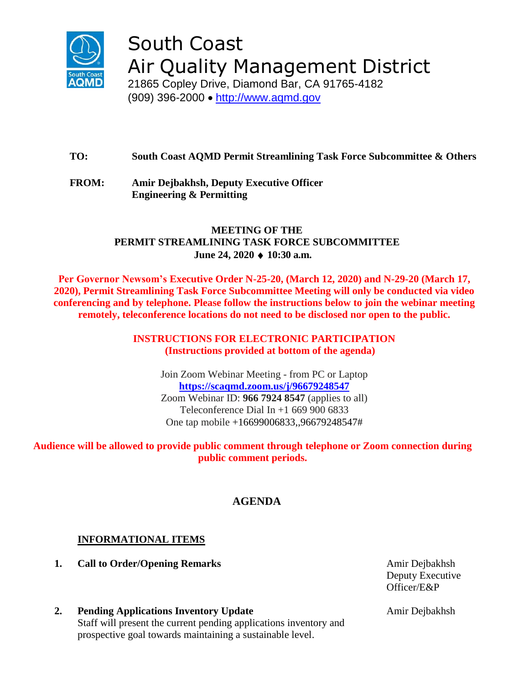

South Coast Air Quality Management District

21865 Copley Drive, Diamond Bar, CA 91765-4182 (909) 396-2000 • [http://www.aqmd.gov](http://www.aqmd.gov/)

# **TO: South Coast AQMD Permit Streamlining Task Force Subcommittee & Others**

**FROM: Amir Dejbakhsh, Deputy Executive Officer Engineering & Permitting**

#### **MEETING OF THE PERMIT STREAMLINING TASK FORCE SUBCOMMITTEE June 24, 2020 10:30 a.m.**

**Per Governor Newsom's Executive Order N-25-20, (March 12, 2020) and N-29-20 (March 17, 2020), Permit Streamlining Task Force Subcommittee Meeting will only be conducted via video conferencing and by telephone. Please follow the instructions below to join the webinar meeting remotely, teleconference locations do not need to be disclosed nor open to the public.**

> **INSTRUCTIONS FOR ELECTRONIC PARTICIPATION (Instructions provided at bottom of the agenda)**

Join Zoom Webinar Meeting - from PC or Laptop **<https://scaqmd.zoom.us/j/96679248547>** Zoom Webinar ID: **966 7924 8547** (applies to all) Teleconference Dial In  $+1$  669 900 6833 One tap mobile +16699006833,,96679248547#

#### **Audience will be allowed to provide public comment through telephone or Zoom connection during public comment periods.**

# **AGENDA**

# **INFORMATIONAL ITEMS**

**1. Call to Order/Opening Remarks Amir Dejbakhsh** 

Deputy Executive Officer/E&P

**2. Pending Applications Inventory Update** Staff will present the current pending applications inventory and prospective goal towards maintaining a sustainable level.

Amir Dejbakhsh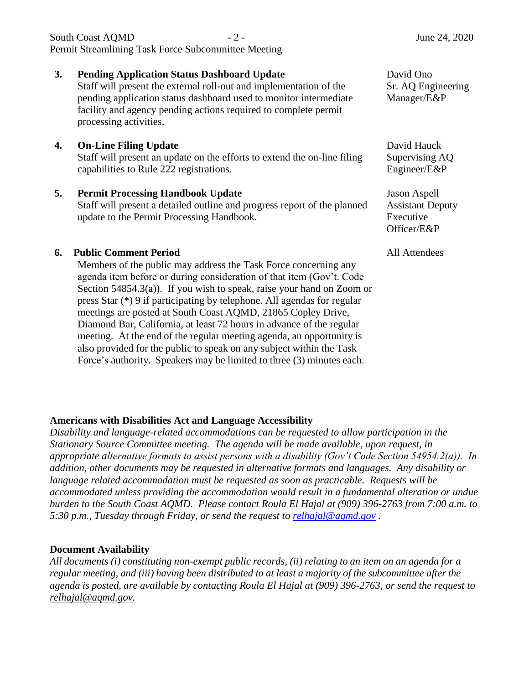| <b>3.</b> | <b>Pending Application Status Dashboard Update</b><br>Staff will present the external roll-out and implementation of the<br>pending application status dashboard used to monitor intermediate<br>facility and agency pending actions required to complete permit<br>processing activities. | David Ono<br>Sr. AQ Engineering<br>Manager/E&P                             |
|-----------|--------------------------------------------------------------------------------------------------------------------------------------------------------------------------------------------------------------------------------------------------------------------------------------------|----------------------------------------------------------------------------|
| 4.        | <b>On-Line Filing Update</b><br>Staff will present an update on the efforts to extend the on-line filing<br>capabilities to Rule 222 registrations.                                                                                                                                        | David Hauck<br>Supervising AQ<br>Engineer/E&P                              |
| 5.        | <b>Permit Processing Handbook Update</b><br>Staff will present a detailed outline and progress report of the planned<br>update to the Permit Processing Handbook.                                                                                                                          | <b>Jason Aspell</b><br><b>Assistant Deputy</b><br>Executive<br>Officer/E&P |
| 6.        | <b>Public Comment Period</b><br>Members of the public may address the Task Force concerning any<br>agenda item before or during consideration of that item (Gov't. Code<br>Section $54854.3(a)$ ). If you wish to speak, raise your hand on Zoom or                                        | All Attendees                                                              |

South Coast AQMD  $-2$  -  $\frac{1}{2}$  June 24, 2020

**Americans with Disabilities Act and Language Accessibility**

press Star (\*) 9 if participating by telephone. All agendas for regular meetings are posted at South Coast AQMD, 21865 Copley Drive, Diamond Bar, California, at least 72 hours in advance of the regular meeting. At the end of the regular meeting agenda, an opportunity is also provided for the public to speak on any subject within the Task Force's authority. Speakers may be limited to three (3) minutes each.

Permit Streamlining Task Force Subcommittee Meeting

*Disability and language-related accommodations can be requested to allow participation in the Stationary Source Committee meeting. The agenda will be made available, upon request, in appropriate alternative formats to assist persons with a disability (Gov't Code Section 54954.2(a)). In addition, other documents may be requested in alternative formats and languages. Any disability or language related accommodation must be requested as soon as practicable. Requests will be accommodated unless providing the accommodation would result in a fundamental alteration or undue burden to the South Coast AQMD. Please contact Roula El Hajal at (909) 396-2763 from 7:00 a.m. to 5:30 p.m., Tuesday through Friday, or send the request to [relhajal@aqmd.gov](mailto:relhajal@aqmd.gov) .*

#### **Document Availability**

*All documents (i) constituting non-exempt public records, (ii) relating to an item on an agenda for a regular meeting, and (iii) having been distributed to at least a majority of the subcommittee after the agenda is posted, are available by contacting Roula El Hajal at (909) 396-2763, or send the request to [relhajal@aqmd.gov.](mailto:relhajal@aqmd.gov)*